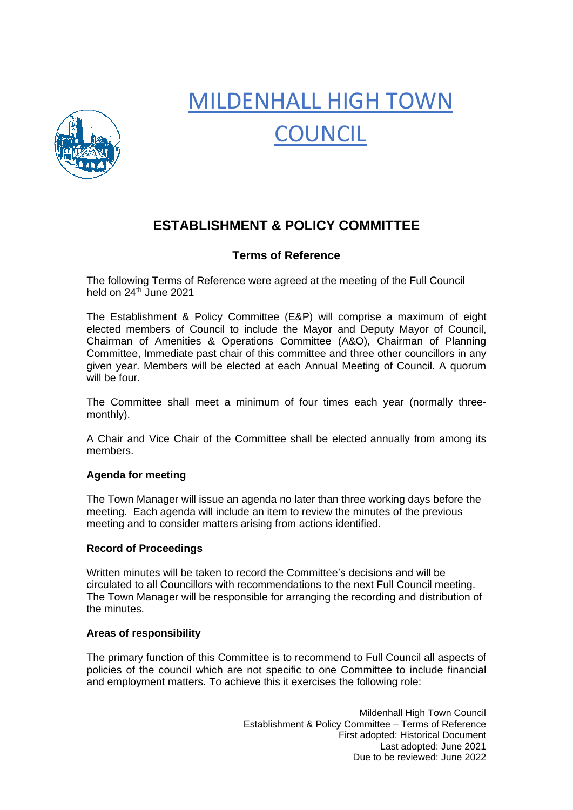

# MILDENHALL HIGH TOWN **COUNCIL**

# **ESTABLISHMENT & POLICY COMMITTEE**

# **Terms of Reference**

The following Terms of Reference were agreed at the meeting of the Full Council held on 24<sup>th</sup> June 2021

The Establishment & Policy Committee (E&P) will comprise a maximum of eight elected members of Council to include the Mayor and Deputy Mayor of Council, Chairman of Amenities & Operations Committee (A&O), Chairman of Planning Committee, Immediate past chair of this committee and three other councillors in any given year. Members will be elected at each Annual Meeting of Council. A quorum will be four.

The Committee shall meet a minimum of four times each year (normally threemonthly).

A Chair and Vice Chair of the Committee shall be elected annually from among its members.

## **Agenda for meeting**

The Town Manager will issue an agenda no later than three working days before the meeting. Each agenda will include an item to review the minutes of the previous meeting and to consider matters arising from actions identified.

### **Record of Proceedings**

Written minutes will be taken to record the Committee's decisions and will be circulated to all Councillors with recommendations to the next Full Council meeting. The Town Manager will be responsible for arranging the recording and distribution of the minutes.

### **Areas of responsibility**

The primary function of this Committee is to recommend to Full Council all aspects of policies of the council which are not specific to one Committee to include financial and employment matters. To achieve this it exercises the following role:

> Mildenhall High Town Council Establishment & Policy Committee – Terms of Reference First adopted: Historical Document Last adopted: June 2021 Due to be reviewed: June 2022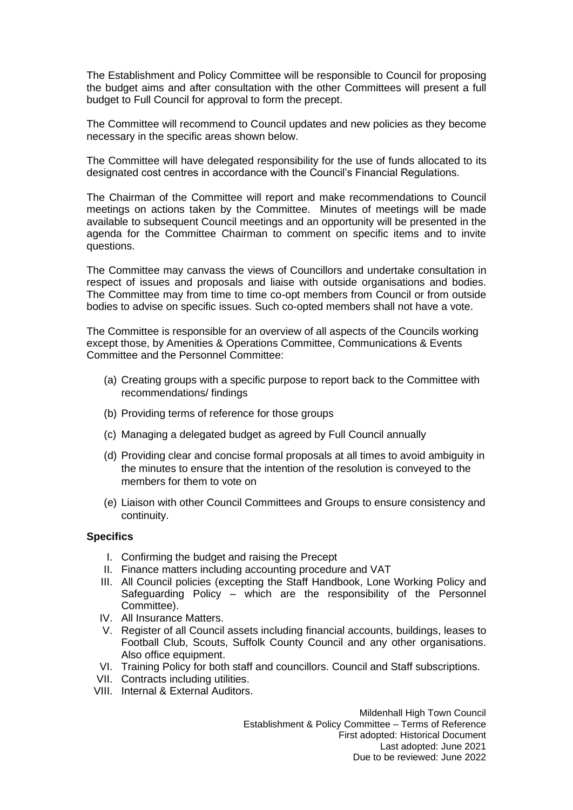The Establishment and Policy Committee will be responsible to Council for proposing the budget aims and after consultation with the other Committees will present a full budget to Full Council for approval to form the precept.

The Committee will recommend to Council updates and new policies as they become necessary in the specific areas shown below.

The Committee will have delegated responsibility for the use of funds allocated to its designated cost centres in accordance with the Council's Financial Regulations.

The Chairman of the Committee will report and make recommendations to Council meetings on actions taken by the Committee. Minutes of meetings will be made available to subsequent Council meetings and an opportunity will be presented in the agenda for the Committee Chairman to comment on specific items and to invite questions.

The Committee may canvass the views of Councillors and undertake consultation in respect of issues and proposals and liaise with outside organisations and bodies. The Committee may from time to time co-opt members from Council or from outside bodies to advise on specific issues. Such co-opted members shall not have a vote.

The Committee is responsible for an overview of all aspects of the Councils working except those, by Amenities & Operations Committee, Communications & Events Committee and the Personnel Committee:

- (a) Creating groups with a specific purpose to report back to the Committee with recommendations/ findings
- (b) Providing terms of reference for those groups
- (c) Managing a delegated budget as agreed by Full Council annually
- (d) Providing clear and concise formal proposals at all times to avoid ambiguity in the minutes to ensure that the intention of the resolution is conveyed to the members for them to vote on
- (e) Liaison with other Council Committees and Groups to ensure consistency and continuity.

### **Specifics**

- I. Confirming the budget and raising the Precept
- II. Finance matters including accounting procedure and VAT
- III. All Council policies (excepting the Staff Handbook, Lone Working Policy and Safeguarding Policy – which are the responsibility of the Personnel Committee).
- IV. All Insurance Matters.
- V. Register of all Council assets including financial accounts, buildings, leases to Football Club, Scouts, Suffolk County Council and any other organisations. Also office equipment.
- VI. Training Policy for both staff and councillors. Council and Staff subscriptions.
- VII. Contracts including utilities.
- VIII. Internal & External Auditors.

Mildenhall High Town Council Establishment & Policy Committee – Terms of Reference First adopted: Historical Document Last adopted: June 2021 Due to be reviewed: June 2022